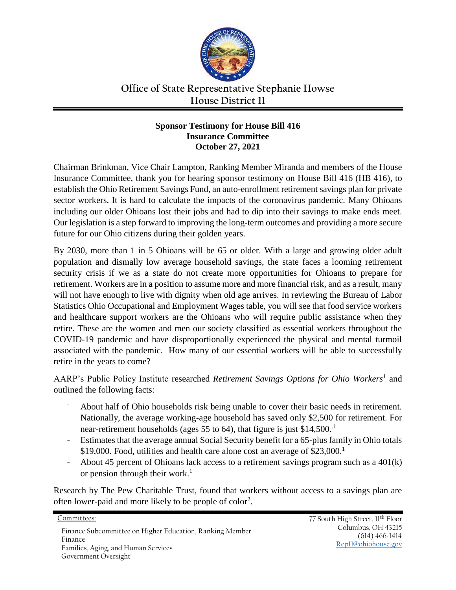

## **Office of State Representative Stephanie Howse House District 11**

## **Sponsor Testimony for House Bill 416 Insurance Committee October 27, 2021**

Chairman Brinkman, Vice Chair Lampton, Ranking Member Miranda and members of the House Insurance Committee, thank you for hearing sponsor testimony on House Bill 416 (HB 416), to establish the Ohio Retirement Savings Fund, an auto-enrollment retirement savings plan for private sector workers. It is hard to calculate the impacts of the coronavirus pandemic. Many Ohioans including our older Ohioans lost their jobs and had to dip into their savings to make ends meet. Our legislation is a step forward to improving the long-term outcomes and providing a more secure future for our Ohio citizens during their golden years.

By 2030, more than 1 in 5 Ohioans will be 65 or older. With a large and growing older adult population and dismally low average household savings, the state faces a looming retirement security crisis if we as a state do not create more opportunities for Ohioans to prepare for retirement. Workers are in a position to assume more and more financial risk, and as a result, many will not have enough to live with dignity when old age arrives. In reviewing the Bureau of Labor Statistics Ohio Occupational and Employment Wages table, you will see that food service workers and healthcare support workers are the Ohioans who will require public assistance when they retire. These are the women and men our society classified as essential workers throughout the COVID-19 pandemic and have disproportionally experienced the physical and mental turmoil associated with the pandemic. How many of our essential workers will be able to successfully retire in the years to come?

AARP's Public Policy Institute researched *Retirement Savings Options for Ohio Workers<sup>1</sup>* and outlined the following facts:

- About half of Ohio households risk being unable to cover their basic needs in retirement. Nationally, the average working-age household has saved only \$2,500 for retirement. For near-retirement households (ages 55 to 64), that figure is just \$14,500.<sup>1</sup>
- Estimates that the average annual Social Security benefit for a 65-plus family in Ohio totals \$19,000. Food, utilities and health care alone cost an average of \$23,000.<sup>1</sup>
- About 45 percent of Ohioans lack access to a retirement savings program such as a 401(k) or pension through their work.<sup>1</sup>

Research by The Pew Charitable Trust, found that workers without access to a savings plan are often lower-paid and more likely to be people of color<sup>2</sup>.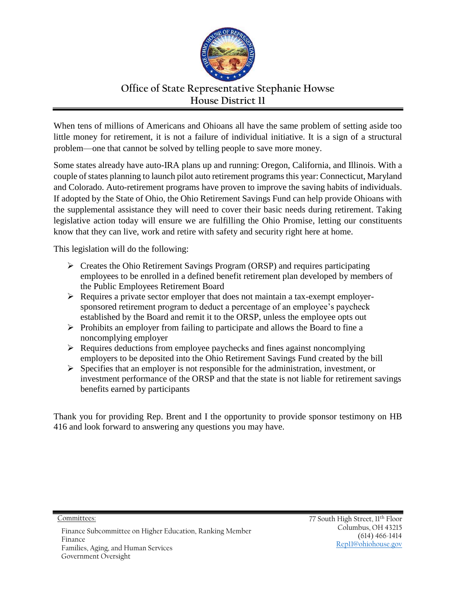

## **Office of State Representative Stephanie Howse House District 11**

When tens of millions of Americans and Ohioans all have the same problem of setting aside too little money for retirement, it is not a failure of individual initiative. It is a sign of a structural problem—one that cannot be solved by telling people to save more money.

Some states already have auto-IRA plans up and running: Oregon, California, and Illinois. With a couple of states planning to launch pilot auto retirement programs this year: Connecticut, Maryland and Colorado. Auto-retirement programs have proven to improve the saving habits of individuals. If adopted by the State of Ohio, the Ohio Retirement Savings Fund can help provide Ohioans with the supplemental assistance they will need to cover their basic needs during retirement. Taking legislative action today will ensure we are fulfilling the Ohio Promise, letting our constituents know that they can live, work and retire with safety and security right here at home.

This legislation will do the following:

- Creates the Ohio Retirement Savings Program (ORSP) and requires participating employees to be enrolled in a defined benefit retirement plan developed by members of the Public Employees Retirement Board
- $\triangleright$  Requires a private sector employer that does not maintain a tax-exempt employersponsored retirement program to deduct a percentage of an employee's paycheck established by the Board and remit it to the ORSP, unless the employee opts out
- $\triangleright$  Prohibits an employer from failing to participate and allows the Board to fine a noncomplying employer
- $\triangleright$  Requires deductions from employee paychecks and fines against noncomplying employers to be deposited into the Ohio Retirement Savings Fund created by the bill
- $\triangleright$  Specifies that an employer is not responsible for the administration, investment, or investment performance of the ORSP and that the state is not liable for retirement savings benefits earned by participants

Thank you for providing Rep. Brent and I the opportunity to provide sponsor testimony on HB 416 and look forward to answering any questions you may have.

Committees: